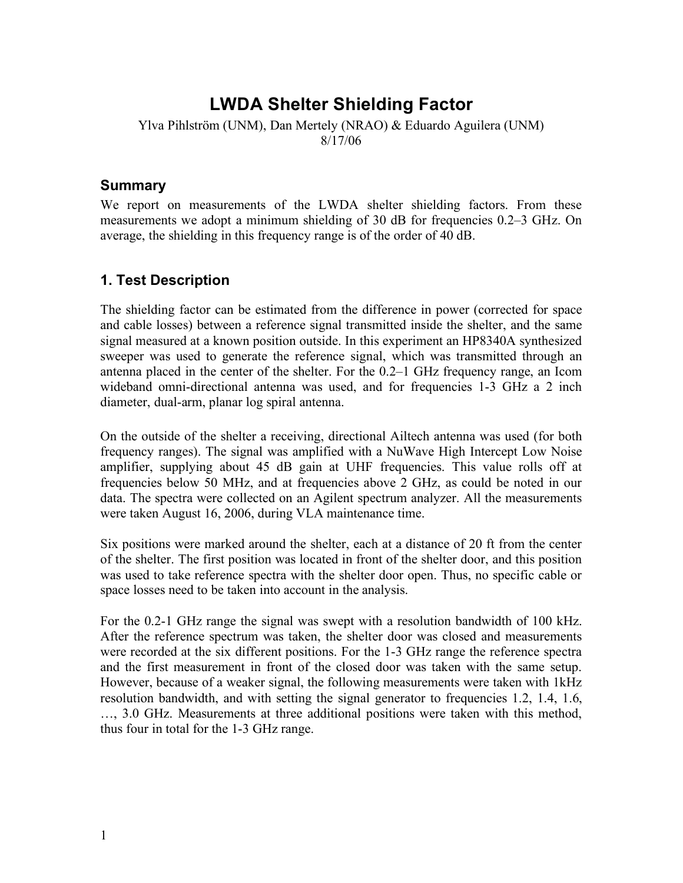# **LWDA Shelter Shielding Factor**

Ylva Pihlström (UNM), Dan Mertely (NRAO) & Eduardo Aguilera (UNM) 8/17/06

### **Summary**

We report on measurements of the LWDA shelter shielding factors. From these measurements we adopt a minimum shielding of 30 dB for frequencies 0.2–3 GHz. On average, the shielding in this frequency range is of the order of 40 dB.

# **1. Test Description**

The shielding factor can be estimated from the difference in power (corrected for space and cable losses) between a reference signal transmitted inside the shelter, and the same signal measured at a known position outside. In this experiment an HP8340A synthesized sweeper was used to generate the reference signal, which was transmitted through an antenna placed in the center of the shelter. For the 0.2–1 GHz frequency range, an Icom wideband omni-directional antenna was used, and for frequencies 1-3 GHz a 2 inch diameter, dual-arm, planar log spiral antenna.

On the outside of the shelter a receiving, directional Ailtech antenna was used (for both frequency ranges). The signal was amplified with a NuWave High Intercept Low Noise amplifier, supplying about 45 dB gain at UHF frequencies. This value rolls off at frequencies below 50 MHz, and at frequencies above 2 GHz, as could be noted in our data. The spectra were collected on an Agilent spectrum analyzer. All the measurements were taken August 16, 2006, during VLA maintenance time.

Six positions were marked around the shelter, each at a distance of 20 ft from the center of the shelter. The first position was located in front of the shelter door, and this position was used to take reference spectra with the shelter door open. Thus, no specific cable or space losses need to be taken into account in the analysis.

For the 0.2-1 GHz range the signal was swept with a resolution bandwidth of 100 kHz. After the reference spectrum was taken, the shelter door was closed and measurements were recorded at the six different positions. For the 1-3 GHz range the reference spectra and the first measurement in front of the closed door was taken with the same setup. However, because of a weaker signal, the following measurements were taken with 1kHz resolution bandwidth, and with setting the signal generator to frequencies 1.2, 1.4, 1.6, …, 3.0 GHz. Measurements at three additional positions were taken with this method, thus four in total for the 1-3 GHz range.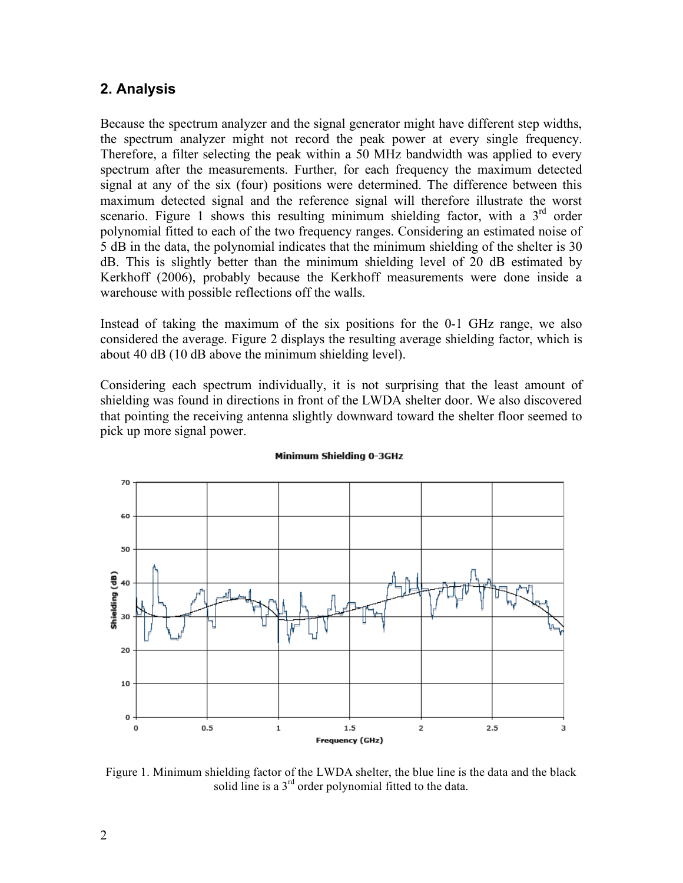## **2. Analysis**

Because the spectrum analyzer and the signal generator might have different step widths, the spectrum analyzer might not record the peak power at every single frequency. Therefore, a filter selecting the peak within a 50 MHz bandwidth was applied to every spectrum after the measurements. Further, for each frequency the maximum detected signal at any of the six (four) positions were determined. The difference between this maximum detected signal and the reference signal will therefore illustrate the worst scenario. Figure 1 shows this resulting minimum shielding factor, with a  $3<sup>rd</sup>$  order polynomial fitted to each of the two frequency ranges. Considering an estimated noise of 5 dB in the data, the polynomial indicates that the minimum shielding of the shelter is 30 dB. This is slightly better than the minimum shielding level of 20 dB estimated by Kerkhoff (2006), probably because the Kerkhoff measurements were done inside a warehouse with possible reflections off the walls.

Instead of taking the maximum of the six positions for the 0-1 GHz range, we also considered the average. Figure 2 displays the resulting average shielding factor, which is about 40 dB (10 dB above the minimum shielding level).

Considering each spectrum individually, it is not surprising that the least amount of shielding was found in directions in front of the LWDA shelter door. We also discovered that pointing the receiving antenna slightly downward toward the shelter floor seemed to pick up more signal power.



#### Minimum Shielding 0-3GHz

Figure 1. Minimum shielding factor of the LWDA shelter, the blue line is the data and the black solid line is a  $3<sup>rd</sup>$  order polynomial fitted to the data.